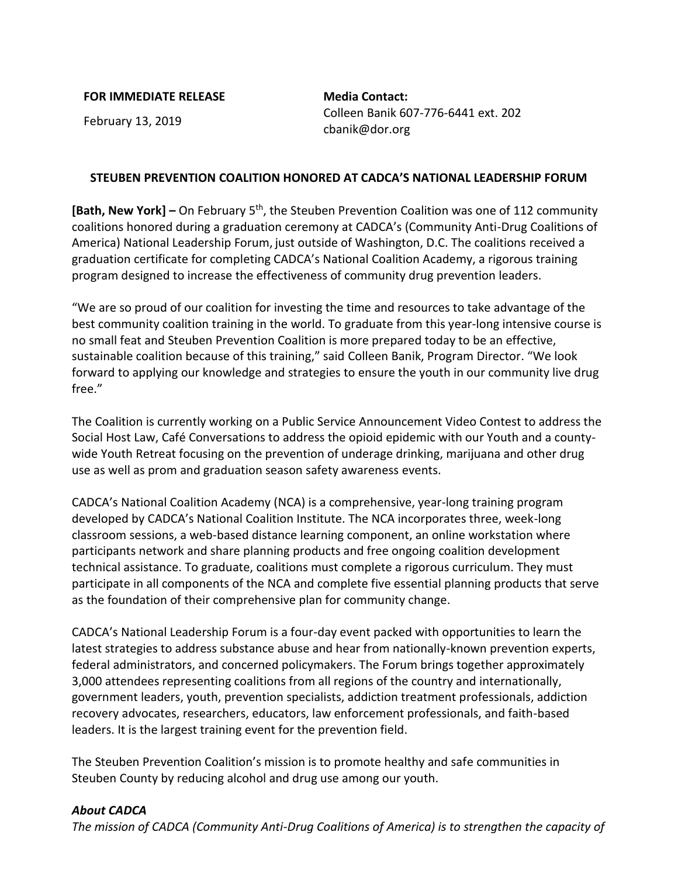## **FOR IMMEDIATE RELEASE Media Contact:**

February 13, 2019 Colleen Banik 607-776-6441 ext. 202 cbanik@dor.org

## **STEUBEN PREVENTION COALITION HONORED AT CADCA'S NATIONAL LEADERSHIP FORUM**

[Bath, New York] – On February 5<sup>th</sup>, the Steuben Prevention Coalition was one of 112 community coalitions honored during a graduation ceremony at CADCA's (Community Anti-Drug Coalitions of America) National Leadership Forum, just outside of Washington, D.C. The coalitions received a graduation certificate for completing CADCA's National Coalition Academy, a rigorous training program designed to increase the effectiveness of community drug prevention leaders.

"We are so proud of our coalition for investing the time and resources to take advantage of the best community coalition training in the world. To graduate from this year-long intensive course is no small feat and Steuben Prevention Coalition is more prepared today to be an effective, sustainable coalition because of this training," said Colleen Banik, Program Director. "We look forward to applying our knowledge and strategies to ensure the youth in our community live drug free."

The Coalition is currently working on a Public Service Announcement Video Contest to address the Social Host Law, Café Conversations to address the opioid epidemic with our Youth and a countywide Youth Retreat focusing on the prevention of underage drinking, marijuana and other drug use as well as prom and graduation season safety awareness events.

CADCA's National Coalition Academy (NCA) is a comprehensive, year-long training program developed by CADCA's National Coalition Institute. The NCA incorporates three, week-long classroom sessions, a web-based distance learning component, an online workstation where participants network and share planning products and free ongoing coalition development technical assistance. To graduate, coalitions must complete a rigorous curriculum. They must participate in all components of the NCA and complete five essential planning products that serve as the foundation of their comprehensive plan for community change.

CADCA's National Leadership Forum is a four-day event packed with opportunities to learn the latest strategies to address substance abuse and hear from nationally-known prevention experts, federal administrators, and concerned policymakers. The Forum brings together approximately 3,000 attendees representing coalitions from all regions of the country and internationally, government leaders, youth, prevention specialists, addiction treatment professionals, addiction recovery advocates, researchers, educators, law enforcement professionals, and faith-based leaders. It is the largest training event for the prevention field.

The Steuben Prevention Coalition's mission is to promote healthy and safe communities in Steuben County by reducing alcohol and drug use among our youth.

## *About CADCA*

*The mission of CADCA (Community Anti-Drug Coalitions of America) is to strengthen the capacity of*